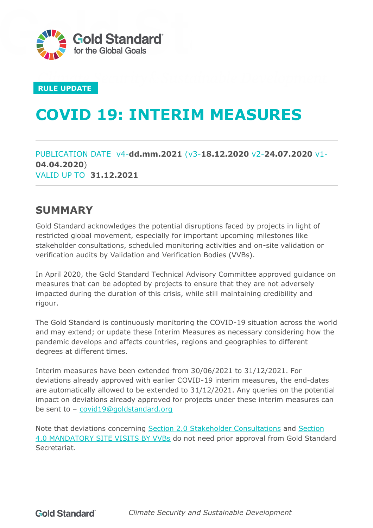

#### **RULE UPDATE**

# **COVID 19: INTERIM MEASURES**

PUBLICATION DATE v4-**dd.mm.2021** (v3-**18.12.2020** v2-**24.07.2020** v1- **04.04.2020**) VALID UP TO **31.12.2021**

### <span id="page-0-0"></span>**SUMMARY**

Gold Standard acknowledges the potential disruptions faced by projects in light of restricted global movement, especially for important upcoming milestones like stakeholder consultations, scheduled monitoring activities and on-site validation or verification audits by Validation and Verification Bodies (VVBs).

In April 2020, the Gold Standard Technical Advisory Committee approved guidance on measures that can be adopted by projects to ensure that they are not adversely impacted during the duration of this crisis, while still maintaining credibility and rigour.

The Gold Standard is continuously monitoring the COVID-19 situation across the world and may extend; or update these Interim Measures as necessary considering how the pandemic develops and affects countries, regions and geographies to different degrees at different times.

Interim measures have been extended from 30/06/2021 to 31/12/2021. For deviations already approved with earlier COVID-19 interim measures, the end-dates are automatically allowed to be extended to 31/12/2021. Any queries on the potential impact on deviations already approved for projects under these interim measures can be sent to – [covid19@goldstandard.org](mailto:covid19@goldstandard.org)

Note that deviations concerning [Section 2.0 Stakeholder Consultations](#page-2-0) and [Section](#page-4-0) [4.0 MANDATORY SITE VISITS BY VVBs](#page-4-0) do not need prior approval from Gold Standard Secretariat.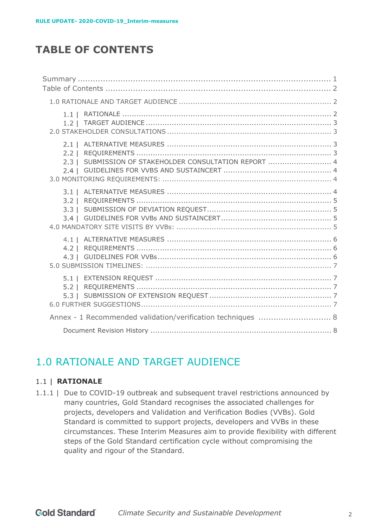# <span id="page-1-0"></span>**TABLE OF CONTENTS**

| $2.1 \perp$<br>$2.2 \mid$<br>SUBMISSION OF STAKEHOLDER CONSULTATION REPORT  4<br>$2.3 \mid$<br>$2.4 \mid$ |  |
|-----------------------------------------------------------------------------------------------------------|--|
| 3.1<br>$3.2 \perp$<br>$3.3 \mid$                                                                          |  |
| $4.1 \perp$<br>$4.3 \perp$                                                                                |  |
|                                                                                                           |  |
| Annex - 1 Recommended validation/verification techniques  8                                               |  |
|                                                                                                           |  |

# <span id="page-1-1"></span>1.0 RATIONALE AND TARGET AUDIENCE

#### <span id="page-1-2"></span>1.1 | **RATIONALE**

1.1.1 | Due to COVID-19 outbreak and subsequent travel restrictions announced by many countries, Gold Standard recognises the associated challenges for projects, developers and Validation and Verification Bodies (VVBs). Gold Standard is committed to support projects, developers and VVBs in these circumstances. These Interim Measures aim to provide flexibility with different steps of the Gold Standard certification cycle without compromising the quality and rigour of the Standard.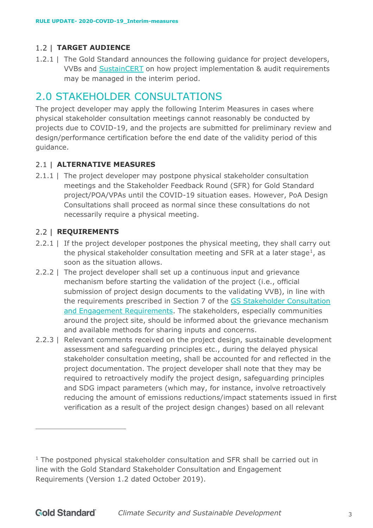#### <span id="page-2-1"></span>**TARGET AUDIENCE**

1.2.1 | The Gold Standard announces the following guidance for project developers, VVBs and [SustainCERT](https://www.sustain-cert.com/) on how project implementation & audit requirements may be managed in the interim period.

# <span id="page-2-0"></span>2.0 STAKEHOLDER CONSULTATIONS

The project developer may apply the following Interim Measures in cases where physical stakeholder consultation meetings cannot reasonably be conducted by projects due to COVID-19, and the projects are submitted for preliminary review and design/performance certification before the end date of the validity period of this guidance.

#### <span id="page-2-2"></span>**ALTERNATIVE MEASURES**

2.1.1 | The project developer may postpone physical stakeholder consultation meetings and the Stakeholder Feedback Round (SFR) for Gold Standard project/POA/VPAs until the COVID-19 situation eases. However, PoA Design Consultations shall proceed as normal since these consultations do not necessarily require a physical meeting.

#### <span id="page-2-3"></span>2.2 | **REQUIREMENTS**

- 2.2.1 | If the project developer postpones the physical meeting, they shall carry out the physical stakeholder consultation meeting and SFR at a later stage<sup>1</sup>, as soon as the situation allows.
- 2.2.2 | The project developer shall set up a continuous input and grievance mechanism before starting the validation of the project (i.e., official submission of project design documents to the validating VVB), in line with the requirements prescribed in Section 7 of the [GS Stakeholder Consultation](https://globalgoals.goldstandard.org/standards/102_V1.2_PAR_Stakeholder-Consultation-Requirements.pdf)  [and Engagement Requirements.](https://globalgoals.goldstandard.org/standards/102_V1.2_PAR_Stakeholder-Consultation-Requirements.pdf) The stakeholders, especially communities around the project site, should be informed about the grievance mechanism and available methods for sharing inputs and concerns.
- 2.2.3 | Relevant comments received on the project design, sustainable development assessment and safeguarding principles etc., during the delayed physical stakeholder consultation meeting, shall be accounted for and reflected in the project documentation. The project developer shall note that they may be required to retroactively modify the project design, safeguarding principles and SDG impact parameters (which may, for instance, involve retroactively reducing the amount of emissions reductions/impact statements issued in first verification as a result of the project design changes) based on all relevant

 $1$  The postponed physical stakeholder consultation and SFR shall be carried out in line with the Gold Standard Stakeholder Consultation and Engagement Requirements (Version 1.2 dated October 2019).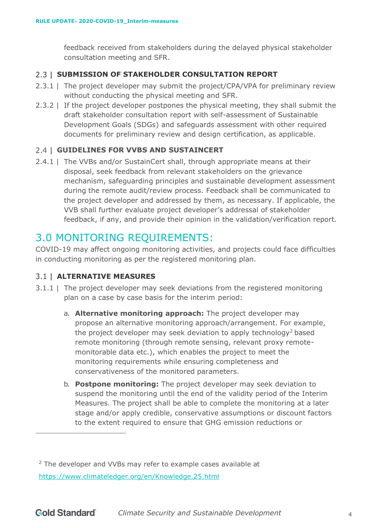feedback received from stakeholders during the delayed physical stakeholder consultation meeting and SFR.

#### <span id="page-3-0"></span>2.3 | SUBMISSION OF STAKEHOLDER CONSULTATION REPORT

- 2.3.1 | The project developer may submit the project/CPA/VPA for preliminary review without conducting the physical meeting and SFR.
- 2.3.2 | If the project developer postpones the physical meeting, they shall submit the draft stakeholder consultation report with self-assessment of Sustainable Development Goals (SDGs) and safeguards assessment with other required documents for preliminary review and design certification, as applicable.

#### <span id="page-3-1"></span>**GUIDELINES FOR VVBS AND SUSTAINCERT**

2.4.1 | The VVBs and/or SustainCert shall, through appropriate means at their disposal, seek feedback from relevant stakeholders on the grievance mechanism, safeguarding principles and sustainable development assessment during the remote audit/review process. Feedback shall be communicated to the project developer and addressed by them, as necessary. If applicable, the VVB shall further evaluate project developer's addressal of stakeholder feedback, if any, and provide their opinion in the validation/verification report.

### <span id="page-3-2"></span>3.0 MONITORING REQUIREMENTS:

COVID-19 may affect ongoing monitoring activities, and projects could face difficulties in conducting monitoring as per the registered monitoring plan.

#### <span id="page-3-3"></span>**ALTERNATIVE MEASURES**

- <span id="page-3-4"></span>3.1.1 | The project developer may seek deviations from the registered monitoring plan on a case by case basis for the interim period:
	- a. **Alternative monitoring approach:** The project developer may propose an alternative monitoring approach/arrangement. For example, the project developer may seek deviation to apply technology<sup>2</sup> based remote monitoring (through remote sensing, relevant proxy remotemonitorable data etc.), which enables the project to meet the monitoring requirements while ensuring completeness and conservativeness of the monitored parameters.
	- b. **Postpone monitoring:** The project developer may seek deviation to suspend the monitoring until the end of the validity period of the Interim Measures. The project shall be able to complete the monitoring at a later stage and/or apply credible, conservative assumptions or discount factors to the extent required to ensure that GHG emission reductions or

<sup>&</sup>lt;sup>2</sup> The developer and VVBs may refer to example cases available at <https://www.climateledger.org/en/Knowledge.25.html>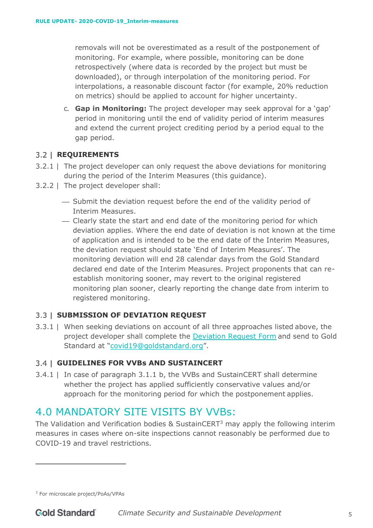<span id="page-4-4"></span>removals will not be overestimated as a result of the postponement of monitoring. For example, where possible, monitoring can be done retrospectively (where data is recorded by the project but must be downloaded), or through interpolation of the monitoring period. For interpolations, a reasonable discount factor (for example, 20% reduction on metrics) should be applied to account for higher uncertainty.

c. **Gap in Monitoring:** The project developer may seek approval for a 'gap' period in monitoring until the end of validity period of interim measures and extend the current project crediting period by a period equal to the gap period.

#### <span id="page-4-1"></span>**REQUIREMENTS**

- 3.2.1 | The project developer can only request the above deviations for monitoring during the period of the Interim Measures (this guidance).
- 3.2.2 | The project developer shall:
	- ⎯ Submit the deviation request before the end of the validity period of Interim Measures.
	- ⎯ Clearly state the start and end date of the monitoring period for which deviation applies. Where the end date of deviation is not known at the time of application and is intended to be the end date of the Interim Measures, the deviation request should state 'End of Interim Measures'. The monitoring deviation will end 28 calendar days from the Gold Standard declared end date of the Interim Measures. Project proponents that can reestablish monitoring sooner, may revert to the original registered monitoring plan sooner, clearly reporting the change date from interim to registered monitoring.

#### <span id="page-4-2"></span>**SUBMISSION OF DEVIATION REQUEST**

3.3.1 | When seeking deviations on account of all three approaches listed above, the project developer shall complete the [Deviation Request Form](https://globalgoals.goldstandard.org/deviation-request-form/) and send to Gold Standard at ["covid19@goldstandard.org"](mailto:vvb@goldstandard.org).

#### <span id="page-4-3"></span>**GUIDELINES FOR VVBs AND SUSTAINCERT**

3.4.1 | In case of paragraph [3.1.1](#page-3-4) [b,](#page-4-4) the VVBs and SustainCERT shall determine whether the project has applied sufficiently conservative values and/or approach for the monitoring period for which the postponement applies.

# <span id="page-4-0"></span>4.0 MANDATORY SITE VISITS BY VVBs:

The Validation and Verification bodies & SustainCERT<sup>3</sup> may apply the following interim measures in cases where on-site inspections cannot reasonably be performed due to COVID-19 and travel restrictions.

<sup>3</sup> For microscale project/PoAs/VPAs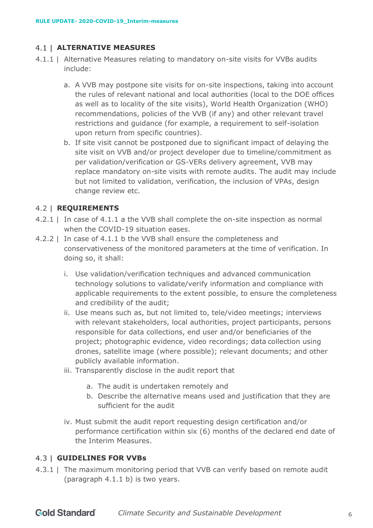#### <span id="page-5-0"></span>**ALTERNATIVE MEASURES**

- <span id="page-5-4"></span><span id="page-5-3"></span>4.1.1 | Alternative Measures relating to mandatory on-site visits for VVBs audits include:
	- a. A VVB may postpone site visits for on-site inspections, taking into account the rules of relevant national and local authorities (local to the DOE offices as well as to locality of the site visits), World Health Organization (WHO) recommendations, policies of the VVB (if any) and other relevant travel restrictions and guidance (for example, a requirement to self-isolation upon return from specific countries).
	- b. If site visit cannot be postponed due to significant impact of delaying the site visit on VVB and/or project developer due to timeline/commitment as per validation/verification or GS-VERs delivery agreement, VVB may replace mandatory on-site visits with remote audits. The audit may include but not limited to validation, verification, the inclusion of VPAs, design change review etc.

#### <span id="page-5-5"></span><span id="page-5-1"></span>**REQUIREMENTS**

- 4.2.1 | In case of [4.1.1](#page-5-3) [a t](#page-5-4)he VVB shall complete the on-site inspection as normal when the COVID-19 situation eases.
- 4.2.2 | In case of [4.1.1](#page-5-3) [b t](#page-5-5)he VVB shall ensure the completeness and conservativeness of the monitored parameters at the time of verification. In doing so, it shall:
	- i. Use validation/verification techniques and advanced communication technology solutions to validate/verify information and compliance with applicable requirements to the extent possible, to ensure the completeness and credibility of the audit;
	- ii. Use means such as, but not limited to, tele/video meetings; interviews with relevant stakeholders, local authorities, project participants, persons responsible for data collections, end user and/or beneficiaries of the project; photographic evidence, video recordings; data collection using drones, satellite image (where possible); relevant documents; and other publicly available information.
	- iii. Transparently disclose in the audit report that
		- a. The audit is undertaken remotely and
		- b. Describe the alternative means used and justification that they are sufficient for the audit
	- iv. Must submit the audit report requesting design certification and/or performance certification within six (6) months of the declared end date of the Interim Measures.

#### <span id="page-5-2"></span>**GUIDELINES FOR VVBs**

4.3.1 | The maximum monitoring period that VVB can verify based on remote audit (paragraph [4.1.1](#page-5-3) [b\)](#page-5-5) is two years.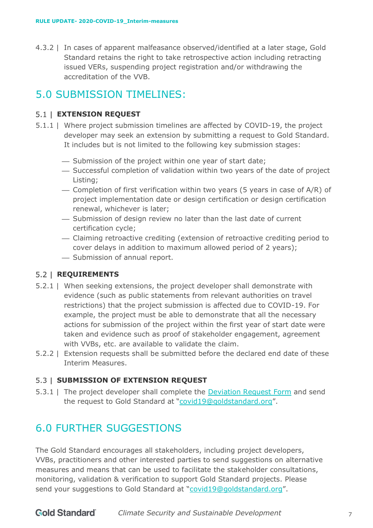4.3.2 | In cases of apparent malfeasance observed/identified at a later stage, Gold Standard retains the right to take retrospective action including retracting issued VERs, suspending project registration and/or withdrawing the accreditation of the VVB.

# <span id="page-6-0"></span>5.0 SUBMISSION TIMELINES:

#### <span id="page-6-1"></span>**EXTENSION REQUEST**

- 5.1.1 | Where project submission timelines are affected by COVID-19, the project developer may seek an extension by submitting a request to Gold Standard. It includes but is not limited to the following key submission stages:
	- Submission of the project within one year of start date;
	- ⎯ Successful completion of validation within two years of the date of project Listing;
	- $-$  Completion of first verification within two years (5 years in case of A/R) of project implementation date or design certification or design certification renewal, whichever is later;
	- ⎯ Submission of design review no later than the last date of current certification cycle;
	- ⎯ Claiming retroactive crediting (extension of retroactive crediting period to cover delays in addition to maximum allowed period of 2 years);
	- Submission of annual report.

#### <span id="page-6-2"></span>**REQUIREMENTS**

- 5.2.1 | When seeking extensions, the project developer shall demonstrate with evidence (such as public statements from relevant authorities on travel restrictions) that the project submission is affected due to COVID-19. For example, the project must be able to demonstrate that all the necessary actions for submission of the project within the first year of start date were taken and evidence such as proof of stakeholder engagement, agreement with VVBs, etc. are available to validate the claim.
- 5.2.2 | Extension requests shall be submitted before the declared end date of these Interim Measures.

#### <span id="page-6-3"></span>**SUBMISSION OF EXTENSION REQUEST**

5.3.1 | The project developer shall complete the [Deviation Request Form](https://globalgoals.goldstandard.org/deviation-request-form/) and send the request to Gold Standard at ["covid19@goldstandard.org"](mailto:vvb@goldstandard.org).

# <span id="page-6-4"></span>6.0 FURTHER SUGGESTIONS

The Gold Standard encourages all stakeholders, including project developers, VVBs, practitioners and other interested parties to send suggestions on alternative measures and means that can be used to facilitate the stakeholder consultations, monitoring, validation & verification to support Gold Standard projects. Please send your suggestions to Gold Standard at ["covid19@goldstandard.org"](mailto:vvb@goldstandard.org).